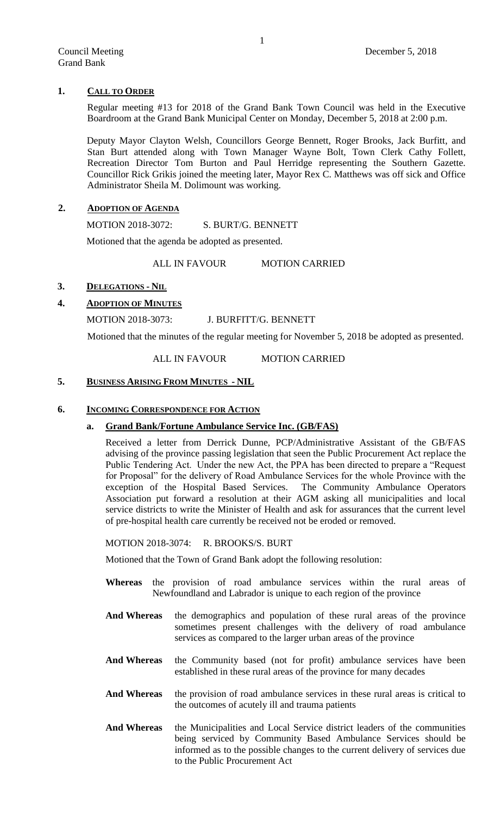# **1. CALL TO ORDER**

Regular meeting #13 for 2018 of the Grand Bank Town Council was held in the Executive Boardroom at the Grand Bank Municipal Center on Monday, December 5, 2018 at 2:00 p.m.

Deputy Mayor Clayton Welsh, Councillors George Bennett, Roger Brooks, Jack Burfitt, and Stan Burt attended along with Town Manager Wayne Bolt, Town Clerk Cathy Follett, Recreation Director Tom Burton and Paul Herridge representing the Southern Gazette. Councillor Rick Grikis joined the meeting later, Mayor Rex C. Matthews was off sick and Office Administrator Sheila M. Dolimount was working.

## **2. ADOPTION OF AGENDA**

MOTION 2018-3072: S. BURT/G. BENNETT

Motioned that the agenda be adopted as presented.

ALL IN FAVOUR MOTION CARRIED

# **3. DELEGATIONS - NIL**

# **4. ADOPTION OF MINUTES**

# MOTION 2018-3073: J. BURFITT/G. BENNETT

Motioned that the minutes of the regular meeting for November 5, 2018 be adopted as presented.

ALL IN FAVOUR MOTION CARRIED

## **5. BUSINESS ARISING FROM MINUTES - NIL**

## **6. INCOMING CORRESPONDENCE FOR ACTION**

### **a. Grand Bank/Fortune Ambulance Service Inc. (GB/FAS)**

Received a letter from Derrick Dunne, PCP/Administrative Assistant of the GB/FAS advising of the province passing legislation that seen the Public Procurement Act replace the Public Tendering Act. Under the new Act, the PPA has been directed to prepare a "Request for Proposal" for the delivery of Road Ambulance Services for the whole Province with the exception of the Hospital Based Services. The Community Ambulance Operators Association put forward a resolution at their AGM asking all municipalities and local service districts to write the Minister of Health and ask for assurances that the current level of pre-hospital health care currently be received not be eroded or removed.

MOTION 2018-3074: R. BROOKS/S. BURT

Motioned that the Town of Grand Bank adopt the following resolution:

- **Whereas** the provision of road ambulance services within the rural areas of Newfoundland and Labrador is unique to each region of the province
- **And Whereas** the demographics and population of these rural areas of the province sometimes present challenges with the delivery of road ambulance services as compared to the larger urban areas of the province
- **And Whereas** the Community based (not for profit) ambulance services have been established in these rural areas of the province for many decades
- **And Whereas** the provision of road ambulance services in these rural areas is critical to the outcomes of acutely ill and trauma patients
- **And Whereas** the Municipalities and Local Service district leaders of the communities being serviced by Community Based Ambulance Services should be informed as to the possible changes to the current delivery of services due to the Public Procurement Act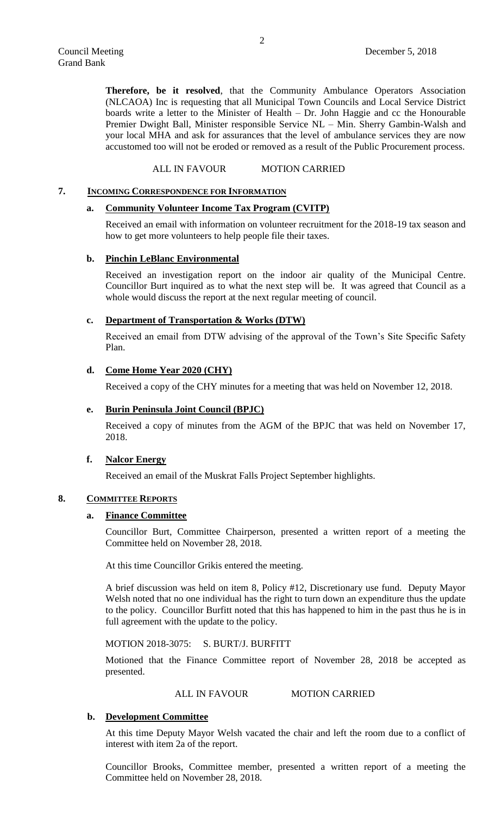**Therefore, be it resolved**, that the Community Ambulance Operators Association (NLCAOA) Inc is requesting that all Municipal Town Councils and Local Service District boards write a letter to the Minister of Health – Dr. John Haggie and cc the Honourable Premier Dwight Ball, Minister responsible Service NL – Min. Sherry Gambin-Walsh and your local MHA and ask for assurances that the level of ambulance services they are now accustomed too will not be eroded or removed as a result of the Public Procurement process.

ALL IN FAVOUR MOTION CARRIED

### **7. INCOMING CORRESPONDENCE FOR INFORMATION**

### **a. Community Volunteer Income Tax Program (CVITP)**

Received an email with information on volunteer recruitment for the 2018-19 tax season and how to get more volunteers to help people file their taxes.

## **b. Pinchin LeBlanc Environmental**

Received an investigation report on the indoor air quality of the Municipal Centre. Councillor Burt inquired as to what the next step will be. It was agreed that Council as a whole would discuss the report at the next regular meeting of council.

## **c. Department of Transportation & Works (DTW)**

Received an email from DTW advising of the approval of the Town's Site Specific Safety Plan.

### **d. Come Home Year 2020 (CHY)**

Received a copy of the CHY minutes for a meeting that was held on November 12, 2018.

### **e. Burin Peninsula Joint Council (BPJC)**

Received a copy of minutes from the AGM of the BPJC that was held on November 17, 2018.

## **f. Nalcor Energy**

Received an email of the Muskrat Falls Project September highlights.

## **8. COMMITTEE REPORTS**

#### **a. Finance Committee**

Councillor Burt, Committee Chairperson, presented a written report of a meeting the Committee held on November 28, 2018.

At this time Councillor Grikis entered the meeting.

A brief discussion was held on item 8, Policy #12, Discretionary use fund. Deputy Mayor Welsh noted that no one individual has the right to turn down an expenditure thus the update to the policy. Councillor Burfitt noted that this has happened to him in the past thus he is in full agreement with the update to the policy.

### MOTION 2018-3075: S. BURT/J. BURFITT

Motioned that the Finance Committee report of November 28, 2018 be accepted as presented.

ALL IN FAVOUR MOTION CARRIED

### **b. Development Committee**

At this time Deputy Mayor Welsh vacated the chair and left the room due to a conflict of interest with item 2a of the report.

Councillor Brooks, Committee member, presented a written report of a meeting the Committee held on November 28, 2018.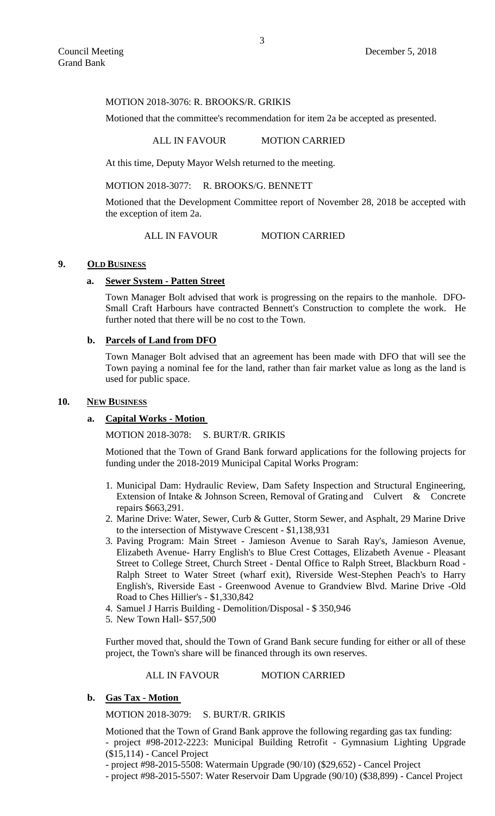## MOTION 2018-3076: R. BROOKS/R. GRIKIS

Motioned that the committee's recommendation for item 2a be accepted as presented.

#### ALL IN FAVOUR MOTION CARRIED

At this time, Deputy Mayor Welsh returned to the meeting.

# MOTION 2018-3077: R. BROOKS/G. BENNETT

Motioned that the Development Committee report of November 28, 2018 be accepted with the exception of item 2a.

# ALL IN FAVOUR MOTION CARRIED

## **9. OLD BUSINESS**

## **a. Sewer System - Patten Street**

Town Manager Bolt advised that work is progressing on the repairs to the manhole. DFO-Small Craft Harbours have contracted Bennett's Construction to complete the work. He further noted that there will be no cost to the Town.

# **b. Parcels of Land from DFO**

Town Manager Bolt advised that an agreement has been made with DFO that will see the Town paying a nominal fee for the land, rather than fair market value as long as the land is used for public space.

### **10. NEW BUSINESS**

### **a. Capital Works - Motion**

MOTION 2018-3078: S. BURT/R. GRIKIS

Motioned that the Town of Grand Bank forward applications for the following projects for funding under the 2018-2019 Municipal Capital Works Program:

- 1. Municipal Dam: Hydraulic Review, Dam Safety Inspection and Structural Engineering, Extension of Intake & Johnson Screen, Removal of Grating and Culvert & Concrete repairs \$663,291.
- 2. Marine Drive: Water, Sewer, Curb & Gutter, Storm Sewer, and Asphalt, 29 Marine Drive to the intersection of Mistywave Crescent - \$1,138,931
- 3. Paving Program: Main Street Jamieson Avenue to Sarah Ray's, Jamieson Avenue, Elizabeth Avenue- Harry English's to Blue Crest Cottages, Elizabeth Avenue - Pleasant Street to College Street, Church Street - Dental Office to Ralph Street, Blackburn Road - Ralph Street to Water Street (wharf exit), Riverside West-Stephen Peach's to Harry English's, Riverside East - Greenwood Avenue to Grandview Blvd. Marine Drive -Old Road to Ches Hillier's - \$1,330,842
- 4. Samuel J Harris Building Demolition/Disposal \$ 350,946
- 5. New Town Hall- \$57,500

Further moved that, should the Town of Grand Bank secure funding for either or all of these project, the Town's share will be financed through its own reserves.

ALL IN FAVOUR MOTION CARRIED

# **b. Gas Tax - Motion**

MOTION 2018-3079: S. BURT/R. GRIKIS

Motioned that the Town of Grand Bank approve the following regarding gas tax funding: - project #98-2012-2223: Municipal Building Retrofit - Gymnasium Lighting Upgrade (\$15,114) - Cancel Project

- project #98-2015-5508: Watermain Upgrade (90/10) (\$29,652) - Cancel Project

- project #98-2015-5507: Water Reservoir Dam Upgrade (90/10) (\$38,899) - Cancel Project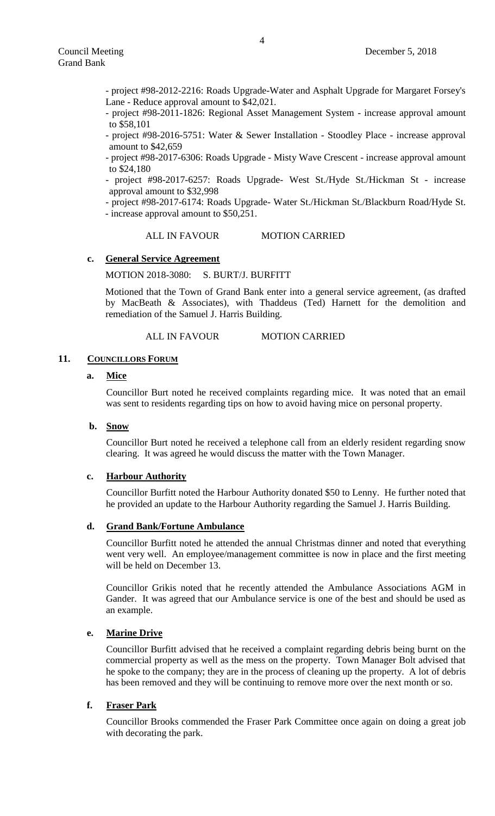- project #98-2012-2216: Roads Upgrade-Water and Asphalt Upgrade for Margaret Forsey's Lane - Reduce approval amount to \$42,021.

- project #98-2011-1826: Regional Asset Management System - increase approval amount to \$58,101

- project #98-2016-5751: Water & Sewer Installation - Stoodley Place - increase approval amount to \$42,659

- project #98-2017-6306: Roads Upgrade - Misty Wave Crescent - increase approval amount to \$24,180

- project #98-2017-6257: Roads Upgrade- West St./Hyde St./Hickman St - increase approval amount to \$32,998

- project #98-2017-6174: Roads Upgrade- Water St./Hickman St./Blackburn Road/Hyde St. - increase approval amount to \$50,251.

## ALL IN FAVOUR MOTION CARRIED

# **c. General Service Agreement**

MOTION 2018-3080: S. BURT/J. BURFITT

Motioned that the Town of Grand Bank enter into a general service agreement, (as drafted by MacBeath & Associates), with Thaddeus (Ted) Harnett for the demolition and remediation of the Samuel J. Harris Building.

ALL IN FAVOUR MOTION CARRIED

## 11. **COUNCILLORS FORUM**

# **a. Mice**

Councillor Burt noted he received complaints regarding mice. It was noted that an email was sent to residents regarding tips on how to avoid having mice on personal property.

## **b. Snow**

Councillor Burt noted he received a telephone call from an elderly resident regarding snow clearing. It was agreed he would discuss the matter with the Town Manager.

### **c. Harbour Authority**

Councillor Burfitt noted the Harbour Authority donated \$50 to Lenny. He further noted that he provided an update to the Harbour Authority regarding the Samuel J. Harris Building.

## **d. Grand Bank/Fortune Ambulance**

Councillor Burfitt noted he attended the annual Christmas dinner and noted that everything went very well. An employee/management committee is now in place and the first meeting will be held on December 13.

Councillor Grikis noted that he recently attended the Ambulance Associations AGM in Gander. It was agreed that our Ambulance service is one of the best and should be used as an example.

# **e. Marine Drive**

Councillor Burfitt advised that he received a complaint regarding debris being burnt on the commercial property as well as the mess on the property. Town Manager Bolt advised that he spoke to the company; they are in the process of cleaning up the property. A lot of debris has been removed and they will be continuing to remove more over the next month or so.

## **f. Fraser Park**

Councillor Brooks commended the Fraser Park Committee once again on doing a great job with decorating the park.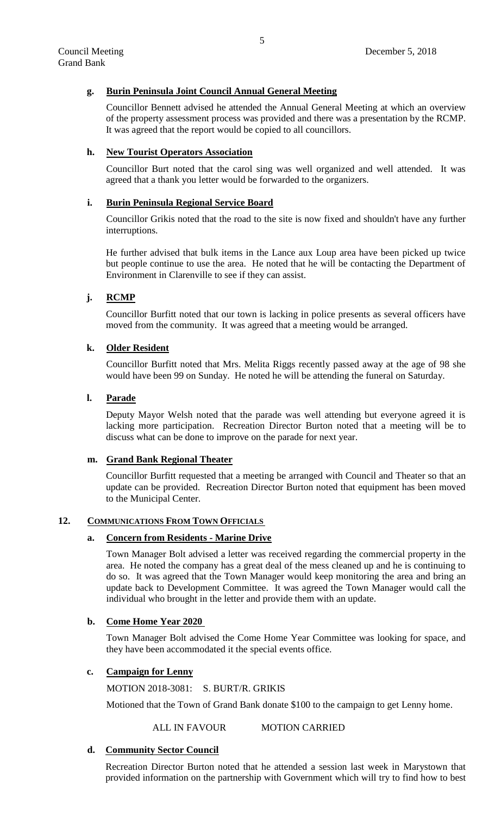# **g. Burin Peninsula Joint Council Annual General Meeting**

Councillor Bennett advised he attended the Annual General Meeting at which an overview of the property assessment process was provided and there was a presentation by the RCMP. It was agreed that the report would be copied to all councillors.

### **h. New Tourist Operators Association**

Councillor Burt noted that the carol sing was well organized and well attended. It was agreed that a thank you letter would be forwarded to the organizers.

### **i. Burin Peninsula Regional Service Board**

Councillor Grikis noted that the road to the site is now fixed and shouldn't have any further interruptions.

He further advised that bulk items in the Lance aux Loup area have been picked up twice but people continue to use the area. He noted that he will be contacting the Department of Environment in Clarenville to see if they can assist.

# **j. RCMP**

Councillor Burfitt noted that our town is lacking in police presents as several officers have moved from the community. It was agreed that a meeting would be arranged.

### **k. Older Resident**

Councillor Burfitt noted that Mrs. Melita Riggs recently passed away at the age of 98 she would have been 99 on Sunday. He noted he will be attending the funeral on Saturday.

# **l. Parade**

Deputy Mayor Welsh noted that the parade was well attending but everyone agreed it is lacking more participation. Recreation Director Burton noted that a meeting will be to discuss what can be done to improve on the parade for next year.

### **m. Grand Bank Regional Theater**

Councillor Burfitt requested that a meeting be arranged with Council and Theater so that an update can be provided. Recreation Director Burton noted that equipment has been moved to the Municipal Center.

# **12. COMMUNICATIONS FROM TOWN OFFICIALS**

### **a. Concern from Residents - Marine Drive**

Town Manager Bolt advised a letter was received regarding the commercial property in the area. He noted the company has a great deal of the mess cleaned up and he is continuing to do so. It was agreed that the Town Manager would keep monitoring the area and bring an update back to Development Committee. It was agreed the Town Manager would call the individual who brought in the letter and provide them with an update.

### **b. Come Home Year 2020**

Town Manager Bolt advised the Come Home Year Committee was looking for space, and they have been accommodated it the special events office.

### **c. Campaign for Lenny**

MOTION 2018-3081: S. BURT/R. GRIKIS

Motioned that the Town of Grand Bank donate \$100 to the campaign to get Lenny home.

ALL IN FAVOUR MOTION CARRIED

### **d. Community Sector Council**

Recreation Director Burton noted that he attended a session last week in Marystown that provided information on the partnership with Government which will try to find how to best